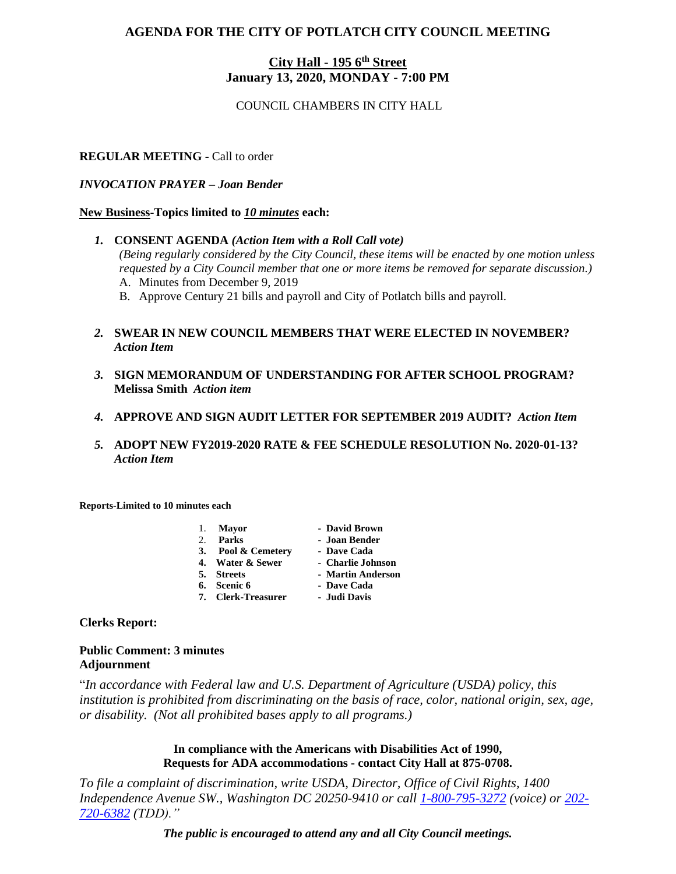# **City Hall - 195 6th Street January 13, 2020, MONDAY - 7:00 PM**

# COUNCIL CHAMBERS IN CITY HALL

# **REGULAR MEETING -** Call to order

# *INVOCATION PRAYER – Joan Bender*

# **New Business-Topics limited to** *10 minutes* **each:**

# *1.* **CONSENT AGENDA** *(Action Item with a Roll Call vote)*

*(Being regularly considered by the City Council, these items will be enacted by one motion unless requested by a City Council member that one or more items be removed for separate discussion.)* A. Minutes from December 9, 2019

B. Approve Century 21 bills and payroll and City of Potlatch bills and payroll.

# *2.* **SWEAR IN NEW COUNCIL MEMBERS THAT WERE ELECTED IN NOVEMBER?**  *Action Item*

- *3.* **SIGN MEMORANDUM OF UNDERSTANDING FOR AFTER SCHOOL PROGRAM? Melissa Smith** *Action item*
- *4.* **APPROVE AND SIGN AUDIT LETTER FOR SEPTEMBER 2019 AUDIT?** *Action Item*
- *5.* **ADOPT NEW FY2019-2020 RATE & FEE SCHEDULE RESOLUTION No. 2020-01-13?**  *Action Item*

**Reports-Limited to 10 minutes each**

|         | 1. Mayor           | - David Brown     |
|---------|--------------------|-------------------|
| $2^{+}$ | <b>Parks</b>       | - Joan Bender     |
|         | 3. Pool & Cemetery | - Dave Cada       |
|         | 4. Water & Sewer   | - Charlie Johnson |
|         | 5. Streets         | - Martin Anderson |
|         | 6. Scenic 6        | - Dave Cada       |
|         | 7. Clerk-Treasurer | - Judi Davis      |

**Clerks Report:** 

# **Public Comment: 3 minutes Adjournment**

"*In accordance with Federal law and U.S. Department of Agriculture (USDA) policy, this institution is prohibited from discriminating on the basis of race, color, national origin, sex, age, or disability. (Not all prohibited bases apply to all programs.)*

> **In compliance with the Americans with Disabilities Act of 1990, Requests for ADA accommodations - contact City Hall at 875-0708.**

*To file a complaint of discrimination, write USDA, Director, Office of Civil Rights, 1400 Independence Avenue SW., Washington DC 20250-9410 or call [1-800-795-3272](http://www.cityofnezperce.com/1-800-795-3272) (voice) or [202-](http://www.cityofnezperce.com/202-720-6382) [720-6382](http://www.cityofnezperce.com/202-720-6382) (TDD)."*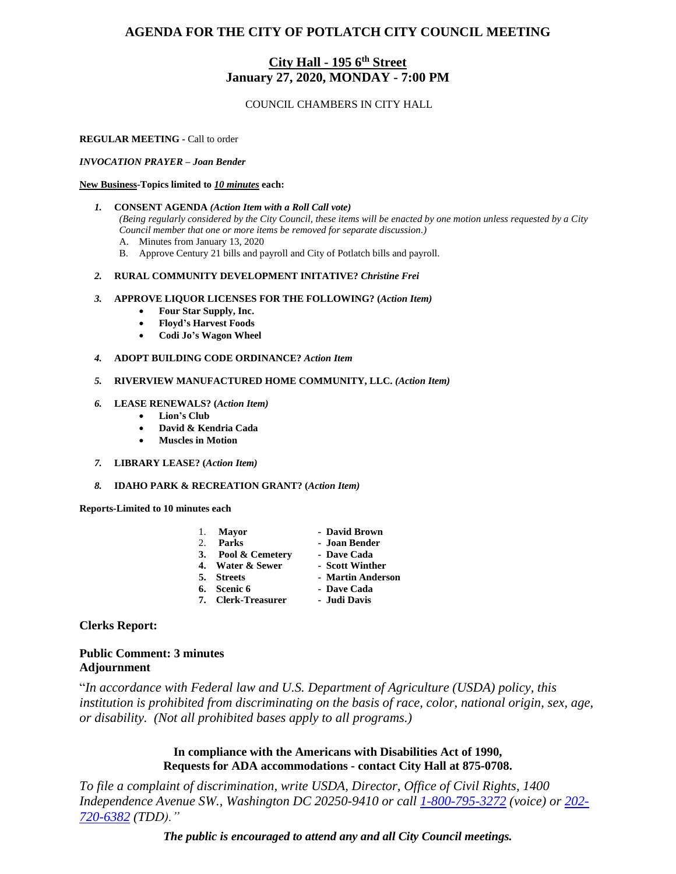# **City Hall - 195 6th Street January 27, 2020, MONDAY - 7:00 PM**

# COUNCIL CHAMBERS IN CITY HALL

#### **REGULAR MEETING -** Call to order

#### *INVOCATION PRAYER – Joan Bender*

#### **New Business-Topics limited to** *10 minutes* **each:**

- *1.* **CONSENT AGENDA** *(Action Item with a Roll Call vote) (Being regularly considered by the City Council, these items will be enacted by one motion unless requested by a City Council member that one or more items be removed for separate discussion.)*
	- A. Minutes from January 13, 2020
	- B. Approve Century 21 bills and payroll and City of Potlatch bills and payroll.

#### *2.* **RURAL COMMUNITY DEVELOPMENT INITATIVE?** *Christine Frei*

- *3.* **APPROVE LIQUOR LICENSES FOR THE FOLLOWING? (***Action Item)*
	- **Four Star Supply, Inc.**
	- **Floyd's Harvest Foods**
	- **Codi Jo's Wagon Wheel**
- *4.* **ADOPT BUILDING CODE ORDINANCE?** *Action Item*

#### *5.* **RIVERVIEW MANUFACTURED HOME COMMUNITY, LLC.** *(Action Item)*

#### *6.* **LEASE RENEWALS? (***Action Item)*

- **Lion's Club**
- **David & Kendria Cada**
- **Muscles in Motion**
- *7.* **LIBRARY LEASE? (***Action Item)*
- *8.* **IDAHO PARK & RECREATION GRANT? (***Action Item)*

**Reports-Limited to 10 minutes each**

|         | 1. Mayor           | - David Brown     |
|---------|--------------------|-------------------|
| $2^{1}$ | Parks              | - Joan Bender     |
|         | 3. Pool & Cemetery | - Dave Cada       |
|         | 4. Water & Sewer   | - Scott Winther   |
|         | 5. Streets         | - Martin Anderson |
|         | 6. Scenic 6        | - Dave Cada       |
|         | 7. Clerk-Treasurer | - Judi Davis      |

**Clerks Report:** 

# **Public Comment: 3 minutes Adjournment**

"*In accordance with Federal law and U.S. Department of Agriculture (USDA) policy, this institution is prohibited from discriminating on the basis of race, color, national origin, sex, age, or disability. (Not all prohibited bases apply to all programs.)*

# **In compliance with the Americans with Disabilities Act of 1990, Requests for ADA accommodations - contact City Hall at 875-0708.**

*To file a complaint of discrimination, write USDA, Director, Office of Civil Rights, 1400 Independence Avenue SW., Washington DC 20250-9410 or call [1-800-795-3272](http://www.cityofnezperce.com/1-800-795-3272) (voice) or [202-](http://www.cityofnezperce.com/202-720-6382) [720-6382](http://www.cityofnezperce.com/202-720-6382) (TDD)."*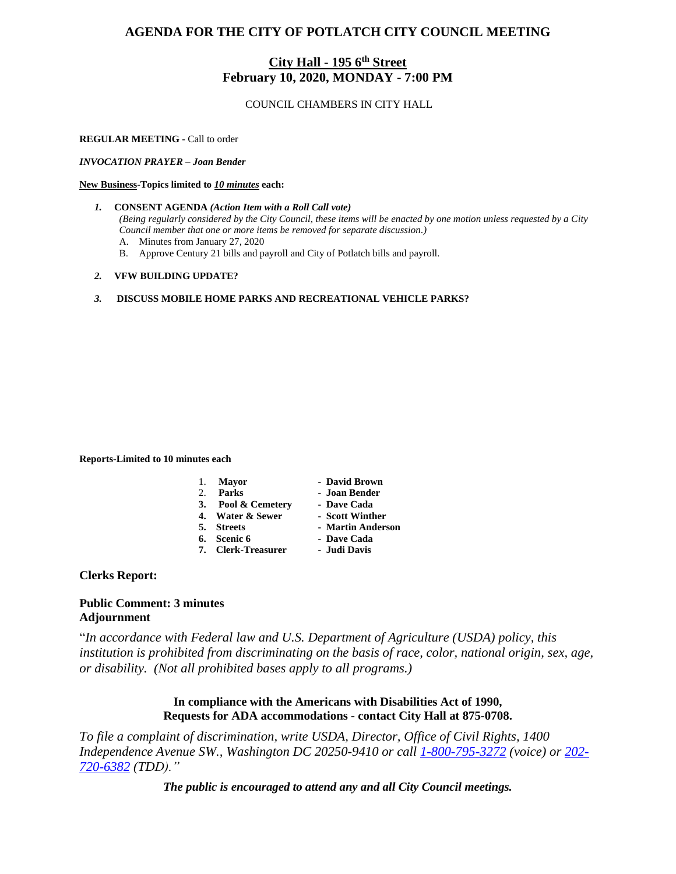# **City Hall - 195 6th Street February 10, 2020, MONDAY - 7:00 PM**

COUNCIL CHAMBERS IN CITY HALL

#### **REGULAR MEETING -** Call to order

*INVOCATION PRAYER – Joan Bender*

#### **New Business-Topics limited to** *10 minutes* **each:**

- *1.* **CONSENT AGENDA** *(Action Item with a Roll Call vote) (Being regularly considered by the City Council, these items will be enacted by one motion unless requested by a City Council member that one or more items be removed for separate discussion.)*
	- A. Minutes from January 27, 2020
	- B. Approve Century 21 bills and payroll and City of Potlatch bills and payroll.

#### *2.* **VFW BUILDING UPDATE?**

#### *3.* **DISCUSS MOBILE HOME PARKS AND RECREATIONAL VEHICLE PARKS?**

**Reports-Limited to 10 minutes each**

|         | 1. Mayor           | - David Brown     |
|---------|--------------------|-------------------|
| $2^{+}$ | <b>Parks</b>       | - Joan Bender     |
|         | 3. Pool & Cemetery | - Dave Cada       |
|         | 4. Water & Sewer   | - Scott Winther   |
|         | 5. Streets         | - Martin Anderson |
|         | 6. Scenic 6        | - Dave Cada       |

- **7. Clerk-Treasurer Judi Davis**
- **Clerks Report:**

# **Public Comment: 3 minutes Adjournment**

"*In accordance with Federal law and U.S. Department of Agriculture (USDA) policy, this institution is prohibited from discriminating on the basis of race, color, national origin, sex, age, or disability. (Not all prohibited bases apply to all programs.)*

# **In compliance with the Americans with Disabilities Act of 1990, Requests for ADA accommodations - contact City Hall at 875-0708.**

*To file a complaint of discrimination, write USDA, Director, Office of Civil Rights, 1400 Independence Avenue SW., Washington DC 20250-9410 or call [1-800-795-3272](http://www.cityofnezperce.com/1-800-795-3272) (voice) or [202-](http://www.cityofnezperce.com/202-720-6382) [720-6382](http://www.cityofnezperce.com/202-720-6382) (TDD)."*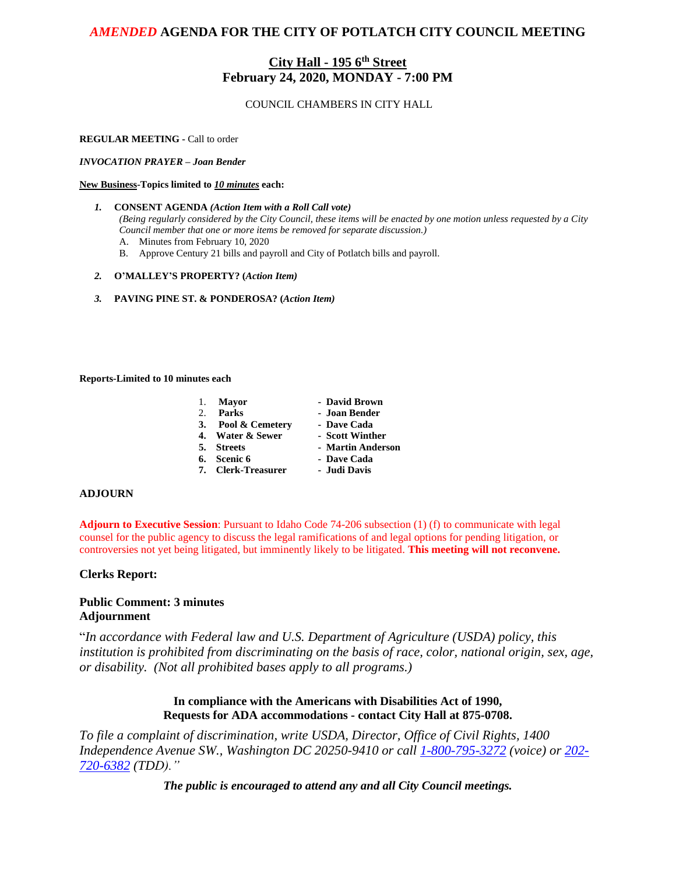# **City Hall - 195 6th Street February 24, 2020, MONDAY - 7:00 PM**

COUNCIL CHAMBERS IN CITY HALL

**REGULAR MEETING -** Call to order

*INVOCATION PRAYER – Joan Bender*

#### **New Business-Topics limited to** *10 minutes* **each:**

- *1.* **CONSENT AGENDA** *(Action Item with a Roll Call vote) (Being regularly considered by the City Council, these items will be enacted by one motion unless requested by a City Council member that one or more items be removed for separate discussion.)*
	- A. Minutes from February 10, 2020
	- B. Approve Century 21 bills and payroll and City of Potlatch bills and payroll.
- *2.* **O'MALLEY'S PROPERTY? (***Action Item)*
- *3.* **PAVING PINE ST. & PONDEROSA? (***Action Item)*

**Reports-Limited to 10 minutes each**

- 1. **Mayor David Brown**<br>2. **Parks Joan Bender**
- 
- **3. Pool & Cemetery - Dave Cada**
- **4. Water & Sewer Scott Winther**
- **5. Streets Martin Anderson**
- **6. Scenic 6 Dave Cada**
- **7. Clerk-Treasurer Judi Davis**
- 

2. **Parks - Joan Bender**

#### **ADJOURN**

**Adjourn to Executive Session**: Pursuant to Idaho Code 74-206 subsection (1) (f) to communicate with legal counsel for the public agency to discuss the legal ramifications of and legal options for pending litigation, or controversies not yet being litigated, but imminently likely to be litigated. **This meeting will not reconvene.**

# **Clerks Report:**

# **Public Comment: 3 minutes Adjournment**

"*In accordance with Federal law and U.S. Department of Agriculture (USDA) policy, this institution is prohibited from discriminating on the basis of race, color, national origin, sex, age, or disability. (Not all prohibited bases apply to all programs.)*

# **In compliance with the Americans with Disabilities Act of 1990, Requests for ADA accommodations - contact City Hall at 875-0708.**

*To file a complaint of discrimination, write USDA, Director, Office of Civil Rights, 1400 Independence Avenue SW., Washington DC 20250-9410 or call [1-800-795-3272](http://www.cityofnezperce.com/1-800-795-3272) (voice) or [202-](http://www.cityofnezperce.com/202-720-6382) [720-6382](http://www.cityofnezperce.com/202-720-6382) (TDD)."*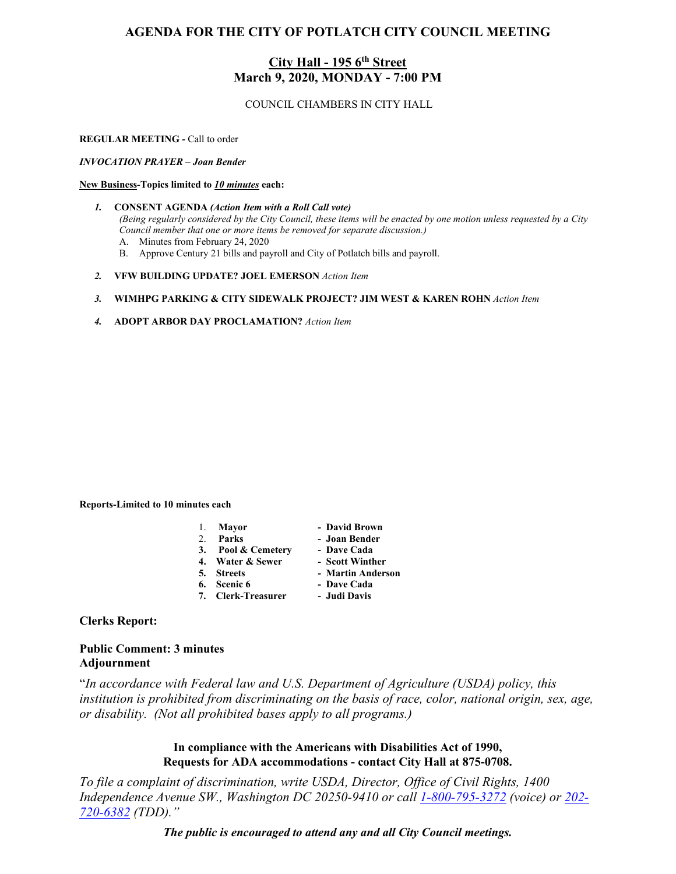# **City Hall - 195 6th Street March 9, 2020, MONDAY - 7:00 PM**

COUNCIL CHAMBERS IN CITY HALL

#### **REGULAR MEETING -** Call to order

*INVOCATION PRAYER – Joan Bender*

#### **New Business-Topics limited to** *10 minutes* **each:**

- *1.* **CONSENT AGENDA** *(Action Item with a Roll Call vote) (Being regularly considered by the City Council, these items will be enacted by one motion unless requested by a City Council member that one or more items be removed for separate discussion.)*
	- A. Minutes from February 24, 2020
	- B. Approve Century 21 bills and payroll and City of Potlatch bills and payroll.
- *2.* **VFW BUILDING UPDATE? JOEL EMERSON** *Action Item*

#### *3.* **WIMHPG PARKING & CITY SIDEWALK PROJECT? JIM WEST & KAREN ROHN** *Action Item*

*4.* **ADOPT ARBOR DAY PROCLAMATION?** *Action Item*

**Reports-Limited to 10 minutes each**

| Mayor | - David Brown |
|-------|---------------|
| Parks | - Joan Bender |

- **3. Pool & Cemetery - Dave Cada**
	-
- **4. Water & Sewer Scott Winther**
- **5.** Streets<br>**6.** Scenic **6**
- 
- **6. Scenic 6 Dave Cada**
- **7. Clerk-Treasurer Judi Davis**

# **Clerks Report:**

# **Public Comment: 3 minutes Adjournment**

"*In accordance with Federal law and U.S. Department of Agriculture (USDA) policy, this institution is prohibited from discriminating on the basis of race, color, national origin, sex, age, or disability. (Not all prohibited bases apply to all programs.)*

> **In compliance with the Americans with Disabilities Act of 1990, Requests for ADA accommodations - contact City Hall at 875-0708.**

*To file a complaint of discrimination, write USDA, Director, Office of Civil Rights, 1400 Independence Avenue SW., Washington DC 20250-9410 or call [1-800-795-3272](http://www.cityofnezperce.com/1-800-795-3272) (voice) or [202-](http://www.cityofnezperce.com/202-720-6382) [720-6382](http://www.cityofnezperce.com/202-720-6382) (TDD)."*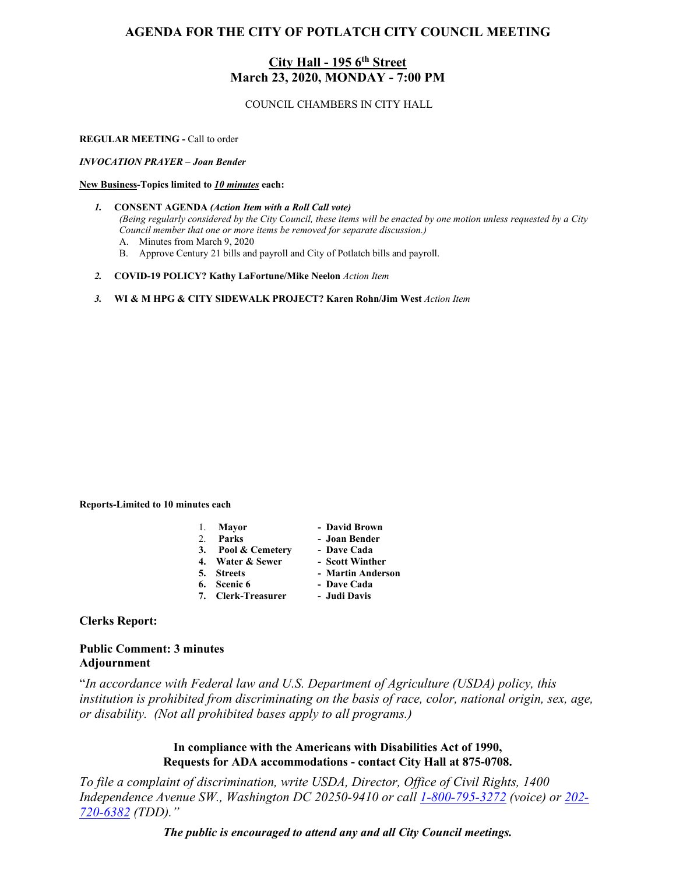# **City Hall - 195 6th Street March 23, 2020, MONDAY - 7:00 PM**

COUNCIL CHAMBERS IN CITY HALL

**REGULAR MEETING -** Call to order

*INVOCATION PRAYER – Joan Bender*

#### **New Business-Topics limited to** *10 minutes* **each:**

- *1.* **CONSENT AGENDA** *(Action Item with a Roll Call vote) (Being regularly considered by the City Council, these items will be enacted by one motion unless requested by a City Council member that one or more items be removed for separate discussion.)*
	- A. Minutes from March 9, 2020
	- B. Approve Century 21 bills and payroll and City of Potlatch bills and payroll.
- *2.* **COVID-19 POLICY? Kathy LaFortune/Mike Neelon** *Action Item*
- *3.* **WI & M HPG & CITY SIDEWALK PROJECT? Karen Rohn/Jim West** *Action Item*

**Reports-Limited to 10 minutes each**

| 1. | Mavor            | - David Brown   |
|----|------------------|-----------------|
| 2. | Parks            | - Joan Bender   |
| 3. | Pool & Cemetery  | - Dave Cada     |
|    | 4. Water & Sewer | - Scott Winther |

- 
- 
- **5. Streets Martin Anderson**
	-
- **6. Scenic 6 Dave Cada**
- **7. Clerk-Treasurer Judi Davis**

# **Clerks Report:**

# **Public Comment: 3 minutes Adjournment**

"*In accordance with Federal law and U.S. Department of Agriculture (USDA) policy, this institution is prohibited from discriminating on the basis of race, color, national origin, sex, age, or disability. (Not all prohibited bases apply to all programs.)*

> **In compliance with the Americans with Disabilities Act of 1990, Requests for ADA accommodations - contact City Hall at 875-0708.**

*To file a complaint of discrimination, write USDA, Director, Office of Civil Rights, 1400 Independence Avenue SW., Washington DC 20250-9410 or call [1-800-795-3272](http://www.cityofnezperce.com/1-800-795-3272) (voice) or [202-](http://www.cityofnezperce.com/202-720-6382) [720-6382](http://www.cityofnezperce.com/202-720-6382) (TDD)."*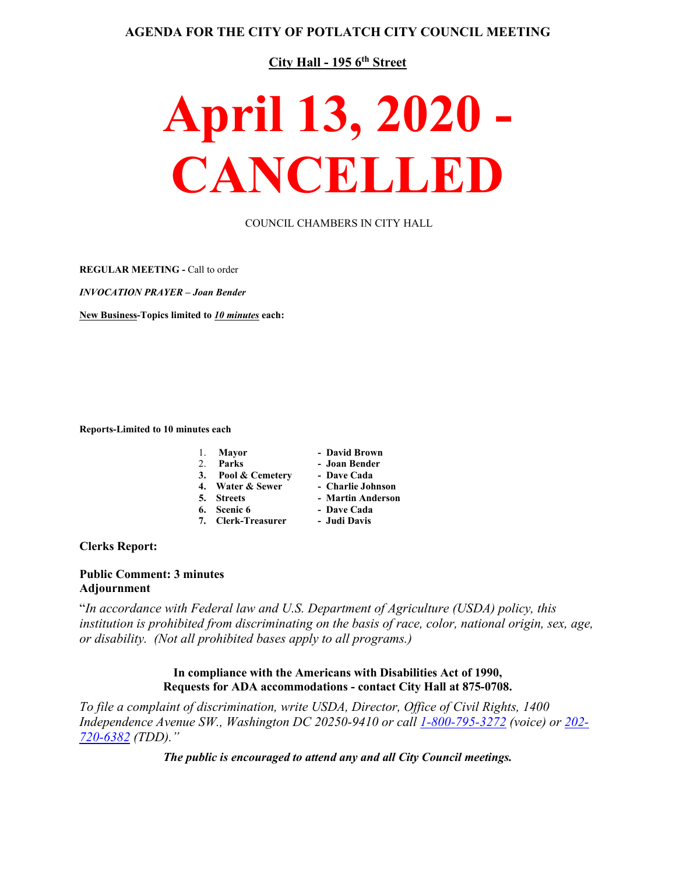# **City Hall - 195 6th Street**

# **April 13, 2020 - CANCELLED**

COUNCIL CHAMBERS IN CITY HALL

**REGULAR MEETING -** Call to order

*INVOCATION PRAYER – Joan Bender*

**New Business-Topics limited to** *10 minutes* **each:**

**Reports-Limited to 10 minutes each**

| 1. Mayor           | - David Brown     |
|--------------------|-------------------|
| 2. Parks           | - Joan Bender     |
| 3. Pool & Cemetery | - Dave Cada       |
| 4. Water & Sewer   | - Charlie Johnson |
| 5. Streets         | - Martin Anderson |
| 6. Scenic 6        | - Dave Cada       |
| 7. Clerk-Treasurer | - Judi Davis      |

**Clerks Report:** 

# **Public Comment: 3 minutes Adjournment**

"*In accordance with Federal law and U.S. Department of Agriculture (USDA) policy, this institution is prohibited from discriminating on the basis of race, color, national origin, sex, age, or disability. (Not all prohibited bases apply to all programs.)*

# **In compliance with the Americans with Disabilities Act of 1990, Requests for ADA accommodations - contact City Hall at 875-0708.**

*To file a complaint of discrimination, write USDA, Director, Office of Civil Rights, 1400 Independence Avenue SW., Washington DC 20250-9410 or call [1-800-795-3272](http://www.cityofnezperce.com/1-800-795-3272) (voice) or [202-](http://www.cityofnezperce.com/202-720-6382) [720-6382](http://www.cityofnezperce.com/202-720-6382) (TDD)."*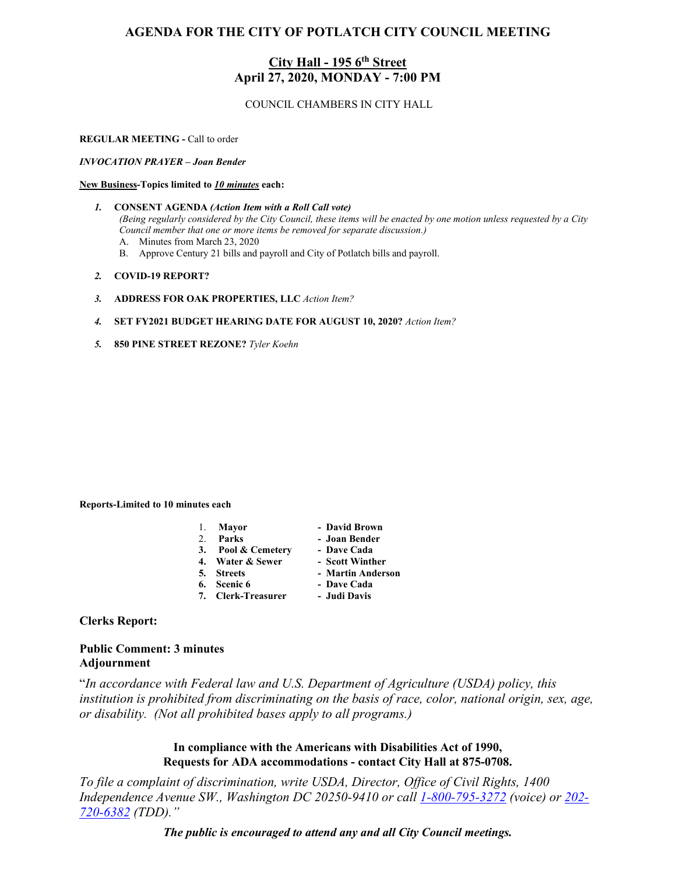# **City Hall - 195 6th Street April 27, 2020, MONDAY - 7:00 PM**

COUNCIL CHAMBERS IN CITY HALL

#### **REGULAR MEETING -** Call to order

*INVOCATION PRAYER – Joan Bender*

#### **New Business-Topics limited to** *10 minutes* **each:**

- *1.* **CONSENT AGENDA** *(Action Item with a Roll Call vote) (Being regularly considered by the City Council, these items will be enacted by one motion unless requested by a City Council member that one or more items be removed for separate discussion.)*
	- A. Minutes from March 23, 2020
	- B. Approve Century 21 bills and payroll and City of Potlatch bills and payroll.
- *2.* **COVID-19 REPORT?**
- *3.* **ADDRESS FOR OAK PROPERTIES, LLC** *Action Item?*

#### *4.* **SET FY2021 BUDGET HEARING DATE FOR AUGUST 10, 2020?** *Action Item?*

*5.* **850 PINE STREET REZONE?** *Tyler Koehn*

**Reports-Limited to 10 minutes each**

|    | Mayor | - David Brown |
|----|-------|---------------|
| 2. | Parks | - Joan Bender |

- 
- **3. Pool & Cemetery - Dave Cada**
- **4. Water & Sewer Scott Winther**
	-
- **5. Streets Martin Anderson**
- **6. Scenic 6 Dave Cada**
- **7. Clerk-Treasurer Judi Davis**
- **Clerks Report:**

# **Public Comment: 3 minutes Adjournment**

"*In accordance with Federal law and U.S. Department of Agriculture (USDA) policy, this institution is prohibited from discriminating on the basis of race, color, national origin, sex, age, or disability. (Not all prohibited bases apply to all programs.)*

> **In compliance with the Americans with Disabilities Act of 1990, Requests for ADA accommodations - contact City Hall at 875-0708.**

*To file a complaint of discrimination, write USDA, Director, Office of Civil Rights, 1400 Independence Avenue SW., Washington DC 20250-9410 or call [1-800-795-3272](http://www.cityofnezperce.com/1-800-795-3272) (voice) or [202-](http://www.cityofnezperce.com/202-720-6382) [720-6382](http://www.cityofnezperce.com/202-720-6382) (TDD)."*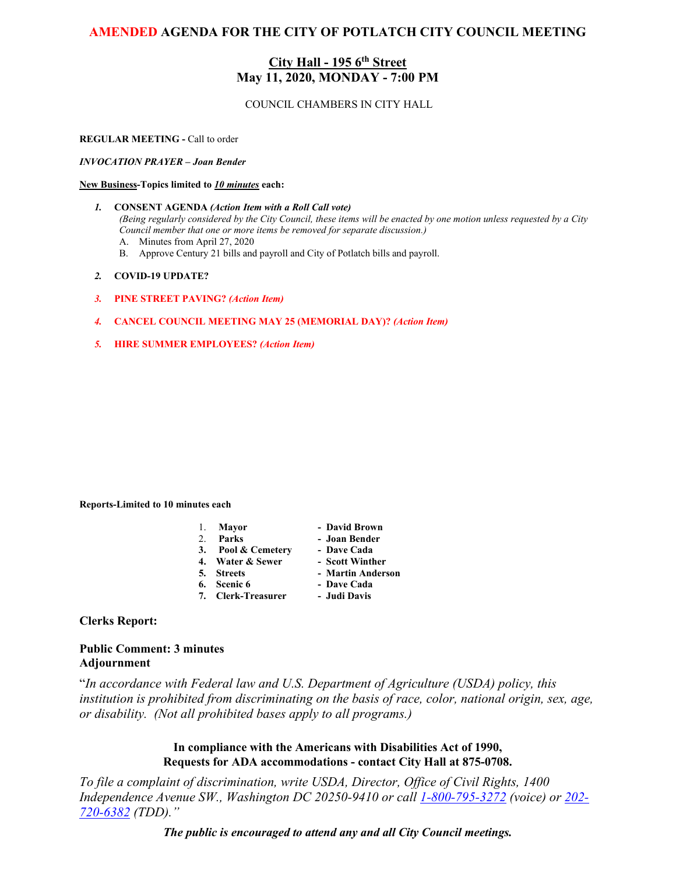# **City Hall - 195 6th Street May 11, 2020, MONDAY - 7:00 PM**

#### COUNCIL CHAMBERS IN CITY HALL

#### **REGULAR MEETING -** Call to order

*INVOCATION PRAYER – Joan Bender*

#### **New Business-Topics limited to** *10 minutes* **each:**

- *1.* **CONSENT AGENDA** *(Action Item with a Roll Call vote) (Being regularly considered by the City Council, these items will be enacted by one motion unless requested by a City Council member that one or more items be removed for separate discussion.)*
	- A. Minutes from April 27, 2020
	- B. Approve Century 21 bills and payroll and City of Potlatch bills and payroll.

#### *2.* **COVID-19 UPDATE?**

*3.* **PINE STREET PAVING?** *(Action Item)*

#### *4.* **CANCEL COUNCIL MEETING MAY 25 (MEMORIAL DAY)?** *(Action Item)*

*5.* **HIRE SUMMER EMPLOYEES?** *(Action Item)*

#### **Reports-Limited to 10 minutes each**

| 1. Mayor | - David Brown |
|----------|---------------|
|          |               |

- 2. **Parks Joan Bender**
- **3. Pool & Cemetery - Dave Cada**
- **4. Water & Sewer Scott Winther**
- 
- **5. Streets Martin Anderson**
- 
- **6. Scenic 6 Dave Cada**
- **7. Clerk-Treasurer Judi Davis**

# **Clerks Report:**

# **Public Comment: 3 minutes Adjournment**

"*In accordance with Federal law and U.S. Department of Agriculture (USDA) policy, this institution is prohibited from discriminating on the basis of race, color, national origin, sex, age, or disability. (Not all prohibited bases apply to all programs.)*

# **In compliance with the Americans with Disabilities Act of 1990, Requests for ADA accommodations - contact City Hall at 875-0708.**

*To file a complaint of discrimination, write USDA, Director, Office of Civil Rights, 1400 Independence Avenue SW., Washington DC 20250-9410 or call [1-800-795-3272](http://www.cityofnezperce.com/1-800-795-3272) (voice) or [202-](http://www.cityofnezperce.com/202-720-6382) [720-6382](http://www.cityofnezperce.com/202-720-6382) (TDD)."*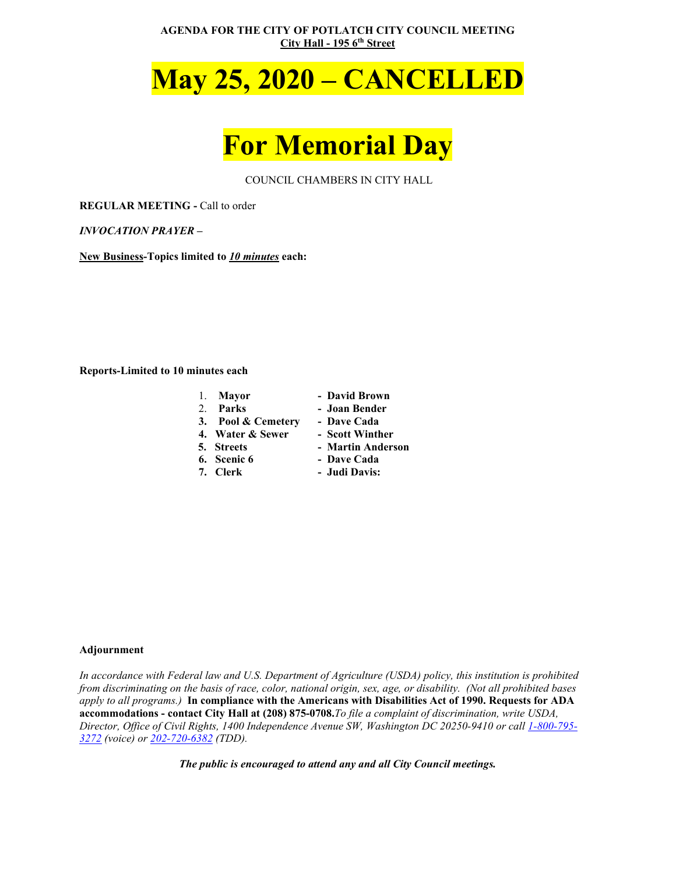**AGENDA FOR THE CITY OF POTLATCH CITY COUNCIL MEETING City Hall - 195 6th Street**

# **May 25, 2020 – CANCELLED**

# **For Memorial Day**

COUNCIL CHAMBERS IN CITY HALL

**REGULAR MEETING -** Call to order

*INVOCATION PRAYER –*

**New Business-Topics limited to** *10 minutes* **each:**

**Reports-Limited to 10 minutes each**

| 1. Mayor           | - David Brown     |
|--------------------|-------------------|
| 2. Parks           | - Joan Bender     |
| 3. Pool & Cemetery | - Dave Cada       |
| 4. Water & Sewer   | - Scott Winther   |
| 5. Streets         | - Martin Anderson |
| 6. Scenic 6        | - Dave Cada       |
| 7. Clerk           | - Judi Davis:     |
|                    |                   |

#### **Adjournment**

*In accordance with Federal law and U.S. Department of Agriculture (USDA) policy, this institution is prohibited from discriminating on the basis of race, color, national origin, sex, age, or disability. (Not all prohibited bases apply to all programs.)* **In compliance with the Americans with Disabilities Act of 1990. Requests for ADA accommodations - contact City Hall at (208) 875-0708.***To file a complaint of discrimination, write USDA, Director, Office of Civil Rights, 1400 Independence Avenue SW, Washington DC 20250-9410 or call [1-800-795-](http://www.cityofnezperce.com/1-800-795-3272) [3272](http://www.cityofnezperce.com/1-800-795-3272) (voice) or [202-720-6382](http://www.cityofnezperce.com/202-720-6382) (TDD).*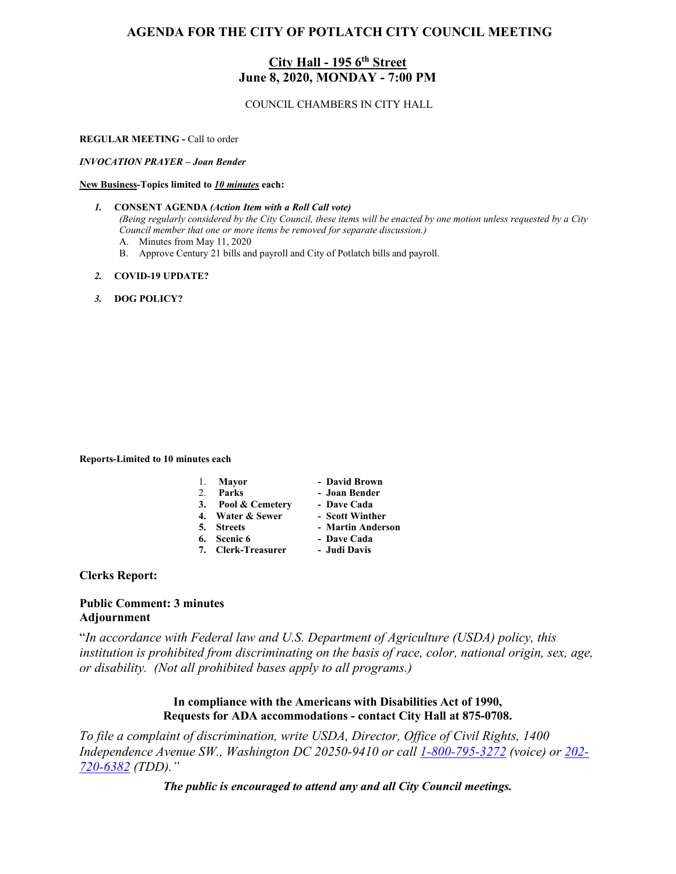# **City Hall - 195 6th Street June 8, 2020, MONDAY - 7:00 PM**

# COUNCIL CHAMBERS IN CITY HALL

#### **REGULAR MEETING -** Call to order

*INVOCATION PRAYER – Joan Bender*

#### **New Business-Topics limited to** *10 minutes* **each:**

- *1.* **CONSENT AGENDA** *(Action Item with a Roll Call vote) (Being regularly considered by the City Council, these items will be enacted by one motion unless requested by a City Council member that one or more items be removed for separate discussion.)*
	- A. Minutes from May 11, 2020
	- B. Approve Century 21 bills and payroll and City of Potlatch bills and payroll.

#### *2.* **COVID-19 UPDATE?**

*3.* **DOG POLICY?**

**Reports-Limited to 10 minutes each**

| 1. Mayor           | - David Brown     |
|--------------------|-------------------|
| 2. Parks           | - Joan Bender     |
| 3. Pool & Cemetery | - Dave Cada       |
| 4. Water & Sewer   | - Scott Winther   |
| 5. Streets         | - Martin Anderson |
| 6. Scenic 6        | - Dave Cada       |

- **7. Clerk-Treasurer Judi Davis**
- 

# **Clerks Report:**

# **Public Comment: 3 minutes Adjournment**

"*In accordance with Federal law and U.S. Department of Agriculture (USDA) policy, this institution is prohibited from discriminating on the basis of race, color, national origin, sex, age, or disability. (Not all prohibited bases apply to all programs.)*

# **In compliance with the Americans with Disabilities Act of 1990, Requests for ADA accommodations - contact City Hall at 875-0708.**

*To file a complaint of discrimination, write USDA, Director, Office of Civil Rights, 1400 Independence Avenue SW., Washington DC 20250-9410 or call [1-800-795-3272](http://www.cityofnezperce.com/1-800-795-3272) (voice) or [202-](http://www.cityofnezperce.com/202-720-6382) [720-6382](http://www.cityofnezperce.com/202-720-6382) (TDD)."*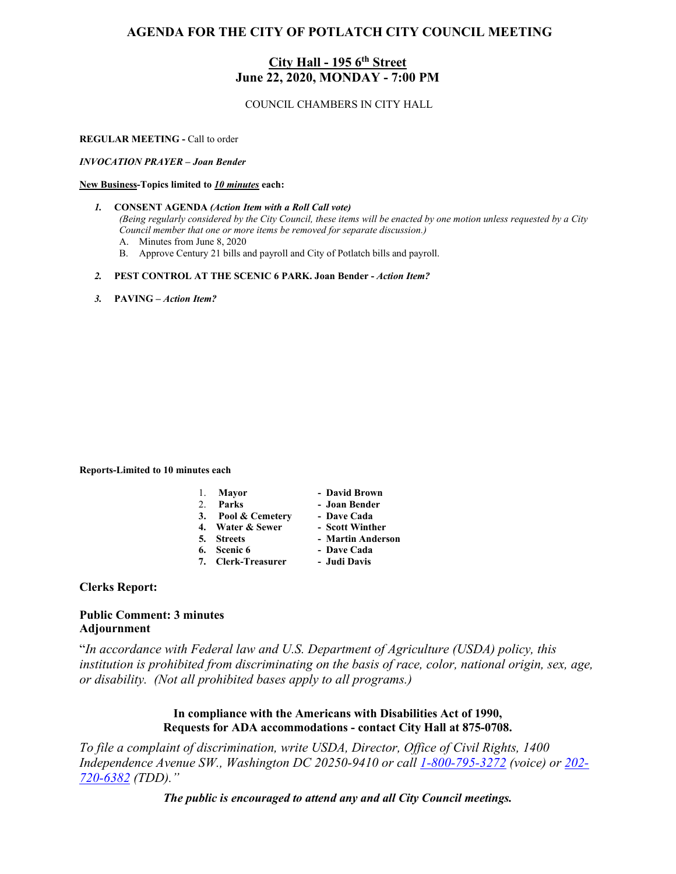# **City Hall - 195 6th Street June 22, 2020, MONDAY - 7:00 PM**

# COUNCIL CHAMBERS IN CITY HALL

#### **REGULAR MEETING -** Call to order

*INVOCATION PRAYER – Joan Bender*

#### **New Business-Topics limited to** *10 minutes* **each:**

- *1.* **CONSENT AGENDA** *(Action Item with a Roll Call vote) (Being regularly considered by the City Council, these items will be enacted by one motion unless requested by a City Council member that one or more items be removed for separate discussion.)*
	- A. Minutes from June 8, 2020
	- B. Approve Century 21 bills and payroll and City of Potlatch bills and payroll.

#### *2.* **PEST CONTROL AT THE SCENIC 6 PARK. Joan Bender -** *Action Item?*

*3.* **PAVING –** *Action Item?*

#### **Reports-Limited to 10 minutes each**

| 1. Mayor           | - David Brown     |
|--------------------|-------------------|
| 2. Parks           | - Joan Bender     |
| 3. Pool & Cemetery | - Dave Cada       |
| 4. Water & Sewer   | - Scott Winther   |
| 5. Streets         | - Martin Anderson |
| 6. Scenic 6        | - Dave Cada       |
| 7. Clerk-Treasurer | - Judi Davis      |

# **Clerks Report:**

## **Public Comment: 3 minutes Adjournment**

"*In accordance with Federal law and U.S. Department of Agriculture (USDA) policy, this institution is prohibited from discriminating on the basis of race, color, national origin, sex, age, or disability. (Not all prohibited bases apply to all programs.)*

# **In compliance with the Americans with Disabilities Act of 1990, Requests for ADA accommodations - contact City Hall at 875-0708.**

*To file a complaint of discrimination, write USDA, Director, Office of Civil Rights, 1400 Independence Avenue SW., Washington DC 20250-9410 or call [1-800-795-3272](http://www.cityofnezperce.com/1-800-795-3272) (voice) or [202-](http://www.cityofnezperce.com/202-720-6382) [720-6382](http://www.cityofnezperce.com/202-720-6382) (TDD)."*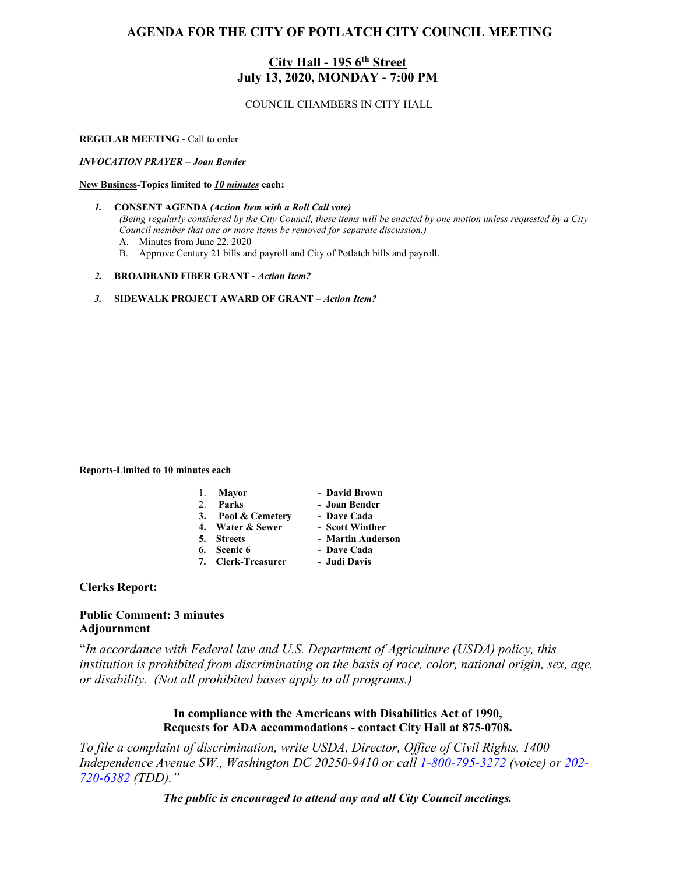# **City Hall - 195 6th Street July 13, 2020, MONDAY - 7:00 PM**

# COUNCIL CHAMBERS IN CITY HALL

#### **REGULAR MEETING -** Call to order

*INVOCATION PRAYER – Joan Bender*

#### **New Business-Topics limited to** *10 minutes* **each:**

- *1.* **CONSENT AGENDA** *(Action Item with a Roll Call vote) (Being regularly considered by the City Council, these items will be enacted by one motion unless requested by a City Council member that one or more items be removed for separate discussion.)*
	- A. Minutes from June 22, 2020
	- B. Approve Century 21 bills and payroll and City of Potlatch bills and payroll.

#### *2.* **BROADBAND FIBER GRANT -** *Action Item?*

#### *3.* **SIDEWALK PROJECT AWARD OF GRANT –** *Action Item?*

#### **Reports-Limited to 10 minutes each**

|    | 1. Mayor           | - David Brown     |
|----|--------------------|-------------------|
| 2. | Parks              | - Joan Bender     |
|    | 3. Pool & Cemetery | - Dave Cada       |
|    | 4. Water & Sewer   | - Scott Winther   |
|    | 5. Streets         | - Martin Anderson |
|    | 6. Scenic 6        | - Dave Cada       |
|    | 7. Clerk-Treasurer | - Judi Davis      |

# **Clerks Report:**

#### **Public Comment: 3 minutes Adjournment**

"*In accordance with Federal law and U.S. Department of Agriculture (USDA) policy, this institution is prohibited from discriminating on the basis of race, color, national origin, sex, age, or disability. (Not all prohibited bases apply to all programs.)*

# **In compliance with the Americans with Disabilities Act of 1990, Requests for ADA accommodations - contact City Hall at 875-0708.**

*To file a complaint of discrimination, write USDA, Director, Office of Civil Rights, 1400 Independence Avenue SW., Washington DC 20250-9410 or call [1-800-795-3272](http://www.cityofnezperce.com/1-800-795-3272) (voice) or [202-](http://www.cityofnezperce.com/202-720-6382) [720-6382](http://www.cityofnezperce.com/202-720-6382) (TDD)."*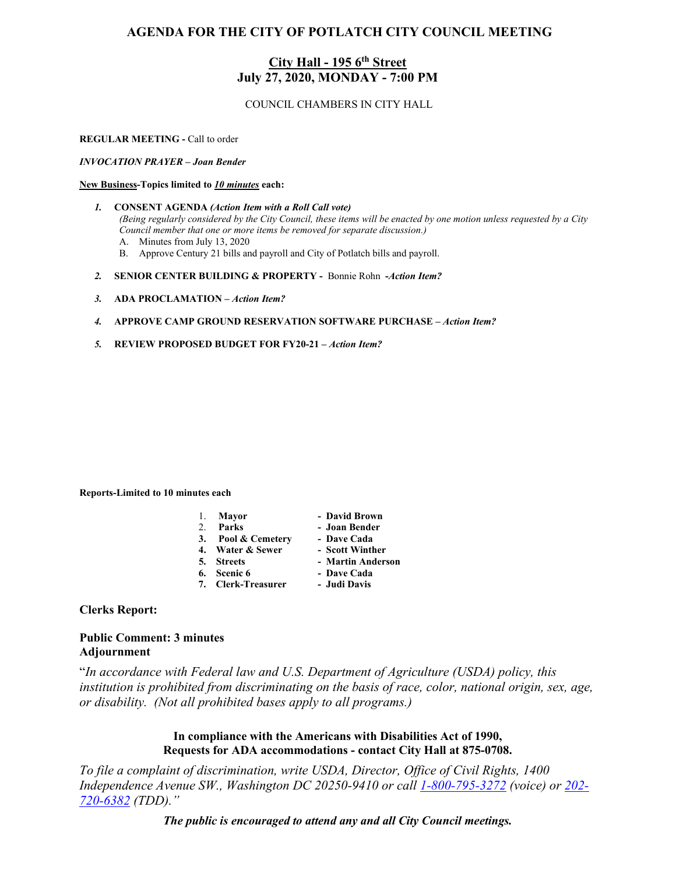# **City Hall - 195 6th Street July 27, 2020, MONDAY - 7:00 PM**

#### COUNCIL CHAMBERS IN CITY HALL

#### **REGULAR MEETING -** Call to order

*INVOCATION PRAYER – Joan Bender*

#### **New Business-Topics limited to** *10 minutes* **each:**

- *1.* **CONSENT AGENDA** *(Action Item with a Roll Call vote) (Being regularly considered by the City Council, these items will be enacted by one motion unless requested by a City Council member that one or more items be removed for separate discussion.)*
	- A. Minutes from July 13, 2020
	- B. Approve Century 21 bills and payroll and City of Potlatch bills and payroll.
- *2.* **SENIOR CENTER BUILDING & PROPERTY -** Bonnie Rohn **-***Action Item?*
- *3.* **ADA PROCLAMATION –** *Action Item?*

#### *4.* **APPROVE CAMP GROUND RESERVATION SOFTWARE PURCHASE** *– Action Item?*

*5.* **REVIEW PROPOSED BUDGET FOR FY20-21 –** *Action Item?*

**Reports-Limited to 10 minutes each**

| 1. Mayor           | - David Brown     |
|--------------------|-------------------|
| 2. Parks           | - Joan Bender     |
| 3. Pool & Cemetery | - Dave Cada       |
| 4. Water & Sewer   | - Scott Winther   |
| 5. Streets         | - Martin Anderson |
| 6. Scenic 6        | - Dave Cada       |
| 7. Clerk-Treasurer | - Judi Davis      |

**Clerks Report:** 

# **Public Comment: 3 minutes Adjournment**

"*In accordance with Federal law and U.S. Department of Agriculture (USDA) policy, this institution is prohibited from discriminating on the basis of race, color, national origin, sex, age, or disability. (Not all prohibited bases apply to all programs.)*

# **In compliance with the Americans with Disabilities Act of 1990, Requests for ADA accommodations - contact City Hall at 875-0708.**

*To file a complaint of discrimination, write USDA, Director, Office of Civil Rights, 1400 Independence Avenue SW., Washington DC 20250-9410 or call [1-800-795-3272](http://www.cityofnezperce.com/1-800-795-3272) (voice) or [202-](http://www.cityofnezperce.com/202-720-6382) [720-6382](http://www.cityofnezperce.com/202-720-6382) (TDD)."*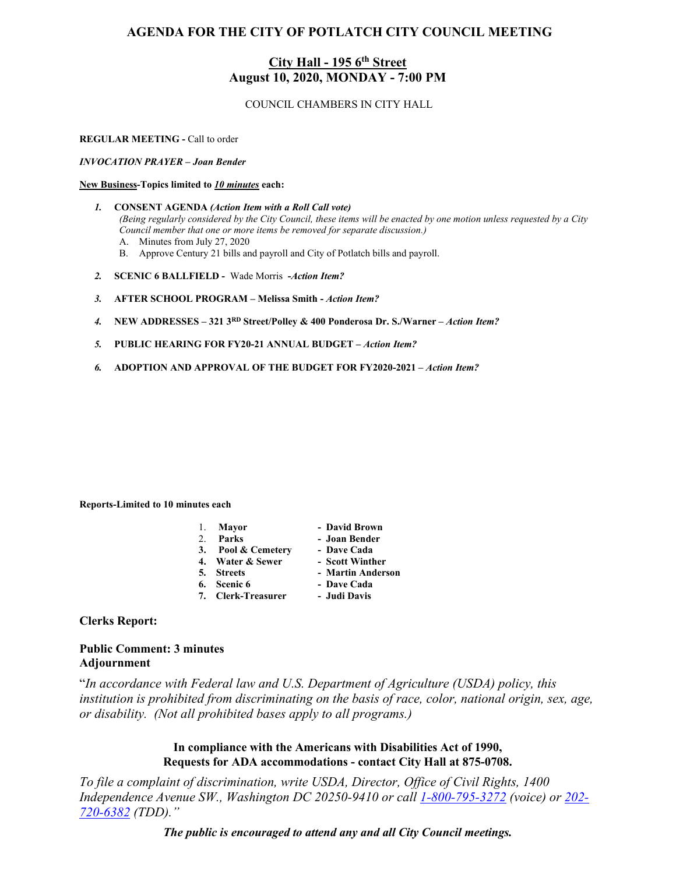# **City Hall - 195 6th Street August 10, 2020, MONDAY - 7:00 PM**

COUNCIL CHAMBERS IN CITY HALL

**REGULAR MEETING -** Call to order

*INVOCATION PRAYER – Joan Bender*

#### **New Business-Topics limited to** *10 minutes* **each:**

- *1.* **CONSENT AGENDA** *(Action Item with a Roll Call vote) (Being regularly considered by the City Council, these items will be enacted by one motion unless requested by a City Council member that one or more items be removed for separate discussion.)*
	- A. Minutes from July 27, 2020
	- B. Approve Century 21 bills and payroll and City of Potlatch bills and payroll.
- *2.* **SCENIC 6 BALLFIELD -** Wade Morris **-***Action Item?*
- *3.* **AFTER SCHOOL PROGRAM – Melissa Smith -** *Action Item?*
- *4.* **NEW ADDRESSES – 321 3RD Street/Polley & 400 Ponderosa Dr. S./Warner –** *Action Item?*
- *5.* **PUBLIC HEARING FOR FY20-21 ANNUAL BUDGET –** *Action Item?*
- *6.* **ADOPTION AND APPROVAL OF THE BUDGET FOR FY2020-2021 –** *Action Item?*

**Reports-Limited to 10 minutes each**

| 1. | Mavor            | - David Brown   |
|----|------------------|-----------------|
| 2. | Parks            | - Joan Bender   |
| 3. | Pool & Cemetery  | - Dave Cada     |
|    | 4. Water & Sewer | - Scott Winther |

- 
- 
- **5. Streets Martin Anderson**<br>**6. Scenic 6 Dave Cada 6. Scenic 6 - Dave Cada**
- **7. Clerk-Treasurer Judi Davis**

**Clerks Report:** 

# **Public Comment: 3 minutes Adjournment**

"*In accordance with Federal law and U.S. Department of Agriculture (USDA) policy, this institution is prohibited from discriminating on the basis of race, color, national origin, sex, age, or disability. (Not all prohibited bases apply to all programs.)*

> **In compliance with the Americans with Disabilities Act of 1990, Requests for ADA accommodations - contact City Hall at 875-0708.**

*To file a complaint of discrimination, write USDA, Director, Office of Civil Rights, 1400 Independence Avenue SW., Washington DC 20250-9410 or call [1-800-795-3272](http://www.cityofnezperce.com/1-800-795-3272) (voice) or [202-](http://www.cityofnezperce.com/202-720-6382) [720-6382](http://www.cityofnezperce.com/202-720-6382) (TDD)."*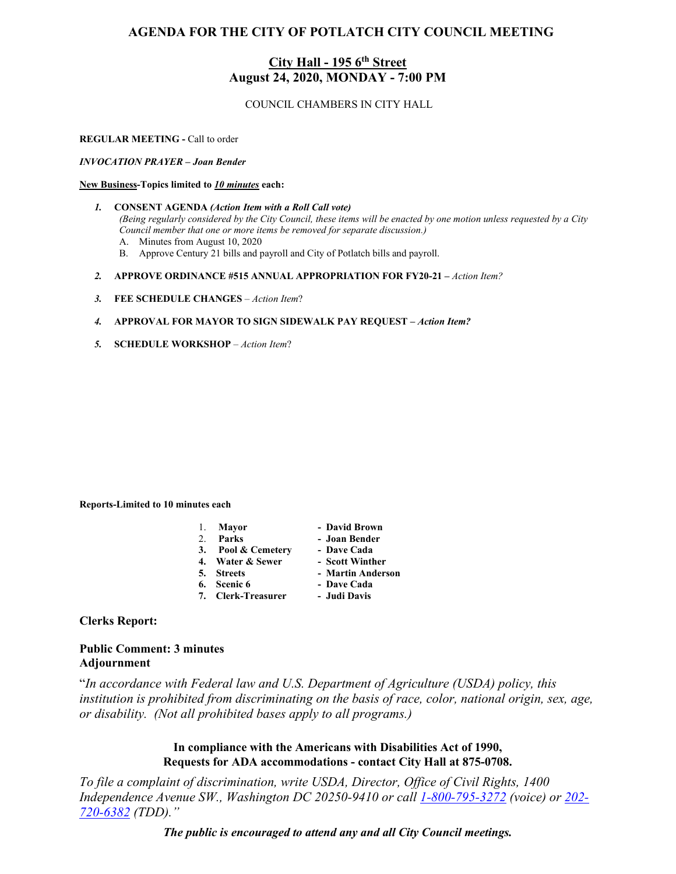# **City Hall - 195 6th Street August 24, 2020, MONDAY - 7:00 PM**

COUNCIL CHAMBERS IN CITY HALL

#### **REGULAR MEETING -** Call to order

*INVOCATION PRAYER – Joan Bender*

#### **New Business-Topics limited to** *10 minutes* **each:**

- *1.* **CONSENT AGENDA** *(Action Item with a Roll Call vote) (Being regularly considered by the City Council, these items will be enacted by one motion unless requested by a City Council member that one or more items be removed for separate discussion.)*
	- A. Minutes from August 10, 2020
	- B. Approve Century 21 bills and payroll and City of Potlatch bills and payroll.
- *2.* **APPROVE ORDINANCE #515 ANNUAL APPROPRIATION FOR FY20-21 –** *Action Item?*
- *3.* **FEE SCHEDULE CHANGES** *Action Item*?

#### *4.* **APPROVAL FOR MAYOR TO SIGN SIDEWALK PAY REQUEST** *– Action Item?*

*5.* **SCHEDULE WORKSHOP** – *Action Item*?

**Reports-Limited to 10 minutes each**

|    | Mayor | - David Brown |
|----|-------|---------------|
| 2. | Parks | - Joan Bender |

- **3. Pool & Cemetery - Dave Cada**
	-
- 
- **4. Water & Sewer Scott Winther**
- **5. Streets Martin Anderson 6.** Streets<br> **6.** Scenic 6 - Dave Cada<br> **6.** Scenic 6 - Dave Cada
- **7. Clerk-Treasurer Judi Davis**
- 

# **Clerks Report:**

# **Public Comment: 3 minutes Adjournment**

"*In accordance with Federal law and U.S. Department of Agriculture (USDA) policy, this institution is prohibited from discriminating on the basis of race, color, national origin, sex, age, or disability. (Not all prohibited bases apply to all programs.)*

> **In compliance with the Americans with Disabilities Act of 1990, Requests for ADA accommodations - contact City Hall at 875-0708.**

*To file a complaint of discrimination, write USDA, Director, Office of Civil Rights, 1400 Independence Avenue SW., Washington DC 20250-9410 or call [1-800-795-3272](http://www.cityofnezperce.com/1-800-795-3272) (voice) or [202-](http://www.cityofnezperce.com/202-720-6382) [720-6382](http://www.cityofnezperce.com/202-720-6382) (TDD)."*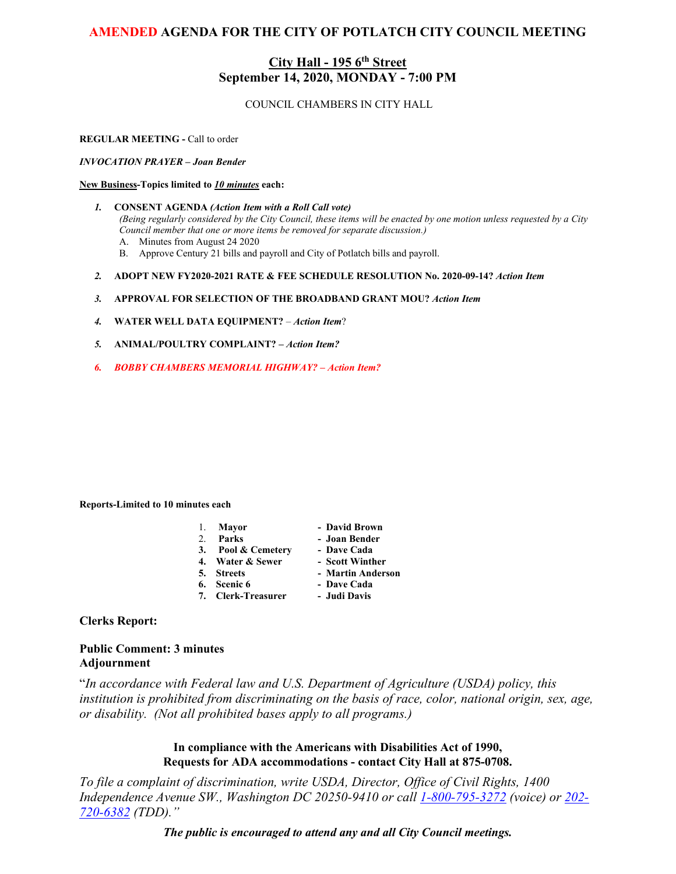# **City Hall - 195 6th Street September 14, 2020, MONDAY - 7:00 PM**

# COUNCIL CHAMBERS IN CITY HALL

#### **REGULAR MEETING -** Call to order

*INVOCATION PRAYER – Joan Bender*

#### **New Business-Topics limited to** *10 minutes* **each:**

- *1.* **CONSENT AGENDA** *(Action Item with a Roll Call vote) (Being regularly considered by the City Council, these items will be enacted by one motion unless requested by a City Council member that one or more items be removed for separate discussion.)*
	- A. Minutes from August 24 2020
	- B. Approve Century 21 bills and payroll and City of Potlatch bills and payroll.
- *2.* **ADOPT NEW FY2020-2021 RATE & FEE SCHEDULE RESOLUTION No. 2020-09-14?** *Action Item*
- *3.* **APPROVAL FOR SELECTION OF THE BROADBAND GRANT MOU?** *Action Item*
- *4.* **WATER WELL DATA EQUIPMENT?** *Action Item*?
- *5.* **ANIMAL/POULTRY COMPLAINT?** *– Action Item?*
- *6. BOBBY CHAMBERS MEMORIAL HIGHWAY? – Action Item?*

#### **Reports-Limited to 10 minutes each**

| . Mayor | - David Brown |
|---------|---------------|
|         |               |

- 
- **3. Pool & Cemetery - Dave Cada**
- 2. **Parks Joan Bender**
	-
- **4. Water & Sewer Scott Winther**
	-
- **5. Streets Martin Anderson**
- 
- **6. Scenic 6 Dave Cada**
- **7. Clerk-Treasurer Judi Davis**

# **Clerks Report:**

# **Public Comment: 3 minutes Adjournment**

"*In accordance with Federal law and U.S. Department of Agriculture (USDA) policy, this institution is prohibited from discriminating on the basis of race, color, national origin, sex, age, or disability. (Not all prohibited bases apply to all programs.)*

> **In compliance with the Americans with Disabilities Act of 1990, Requests for ADA accommodations - contact City Hall at 875-0708.**

*To file a complaint of discrimination, write USDA, Director, Office of Civil Rights, 1400 Independence Avenue SW., Washington DC 20250-9410 or call [1-800-795-3272](http://www.cityofnezperce.com/1-800-795-3272) (voice) or [202-](http://www.cityofnezperce.com/202-720-6382) [720-6382](http://www.cityofnezperce.com/202-720-6382) (TDD)."*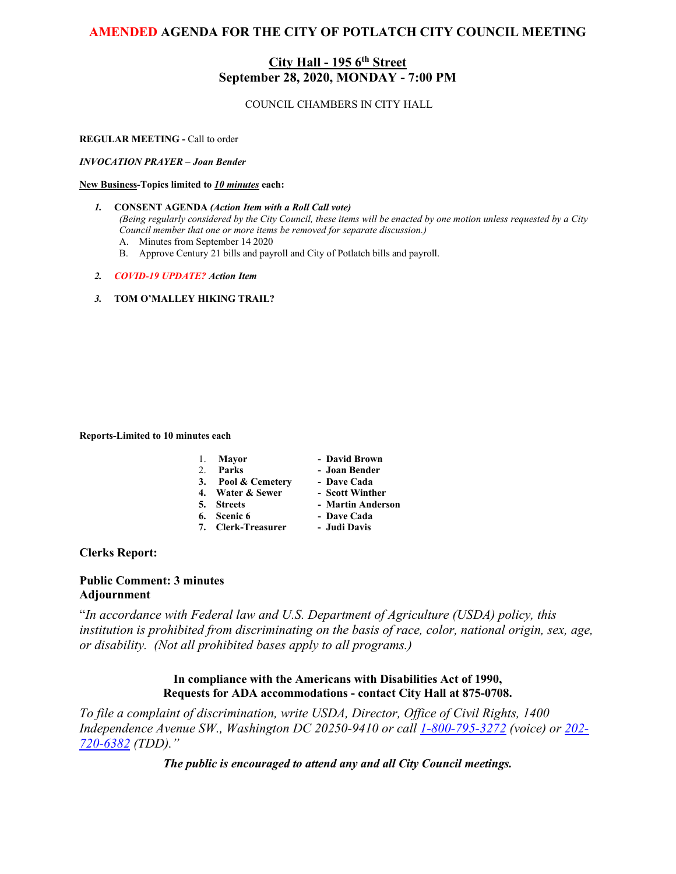# **City Hall - 195 6th Street September 28, 2020, MONDAY - 7:00 PM**

# COUNCIL CHAMBERS IN CITY HALL

#### **REGULAR MEETING -** Call to order

*INVOCATION PRAYER – Joan Bender*

#### **New Business-Topics limited to** *10 minutes* **each:**

- *1.* **CONSENT AGENDA** *(Action Item with a Roll Call vote) (Being regularly considered by the City Council, these items will be enacted by one motion unless requested by a City Council member that one or more items be removed for separate discussion.)*
	- A. Minutes from September 14 2020
	- B. Approve Century 21 bills and payroll and City of Potlatch bills and payroll.
- *2. COVID-19 UPDATE? Action Item*

#### *3.* **TOM O'MALLEY HIKING TRAIL?**

#### **Reports-Limited to 10 minutes each**

| 1. Mayor           | - David Brown     |
|--------------------|-------------------|
| 2. Parks           | - Joan Bender     |
| 3. Pool & Cemetery | - Dave Cada       |
| 4. Water & Sewer   | - Scott Winther   |
| 5. Streets         | - Martin Anderson |
| 6. Scenic 6        | - Dave Cada       |
| 7. Clerk-Treasurer | - Judi Davis      |

**Clerks Report:** 

# **Public Comment: 3 minutes Adjournment**

"*In accordance with Federal law and U.S. Department of Agriculture (USDA) policy, this institution is prohibited from discriminating on the basis of race, color, national origin, sex, age, or disability. (Not all prohibited bases apply to all programs.)*

# **In compliance with the Americans with Disabilities Act of 1990, Requests for ADA accommodations - contact City Hall at 875-0708.**

*To file a complaint of discrimination, write USDA, Director, Office of Civil Rights, 1400 Independence Avenue SW., Washington DC 20250-9410 or call [1-800-795-3272](http://www.cityofnezperce.com/1-800-795-3272) (voice) or [202-](http://www.cityofnezperce.com/202-720-6382) [720-6382](http://www.cityofnezperce.com/202-720-6382) (TDD)."*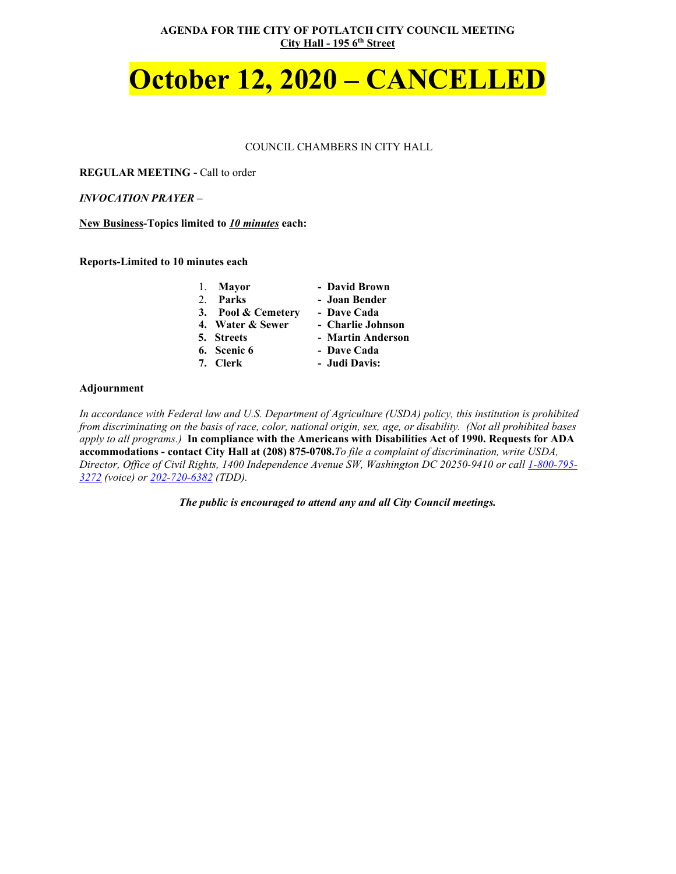**AGENDA FOR THE CITY OF POTLATCH CITY COUNCIL MEETING City Hall - 195 6th Street**

# **October 12, 2020 – CANCELLED**

#### COUNCIL CHAMBERS IN CITY HALL

**REGULAR MEETING -** Call to order

*INVOCATION PRAYER –*

**New Business-Topics limited to** *10 minutes* **each:**

**Reports-Limited to 10 minutes each**

|            | 1. Mayor           | - David Brown     |
|------------|--------------------|-------------------|
| 2. Parks   |                    | - Joan Bender     |
|            | 3. Pool & Cemetery | - Dave Cada       |
|            | 4. Water & Sewer   | - Charlie Johnson |
| 5. Streets |                    | - Martin Anderson |
|            | 6. Scenic 6        | - Dave Cada       |
| 7. Clerk   |                    | - Judi Davis:     |

#### **Adjournment**

*In accordance with Federal law and U.S. Department of Agriculture (USDA) policy, this institution is prohibited from discriminating on the basis of race, color, national origin, sex, age, or disability. (Not all prohibited bases apply to all programs.)* **In compliance with the Americans with Disabilities Act of 1990. Requests for ADA accommodations - contact City Hall at (208) 875-0708.***To file a complaint of discrimination, write USDA, Director, Office of Civil Rights, 1400 Independence Avenue SW, Washington DC 20250-9410 or call [1-800-795-](http://www.cityofnezperce.com/1-800-795-3272) [3272](http://www.cityofnezperce.com/1-800-795-3272) (voice) or [202-720-6382](http://www.cityofnezperce.com/202-720-6382) (TDD).*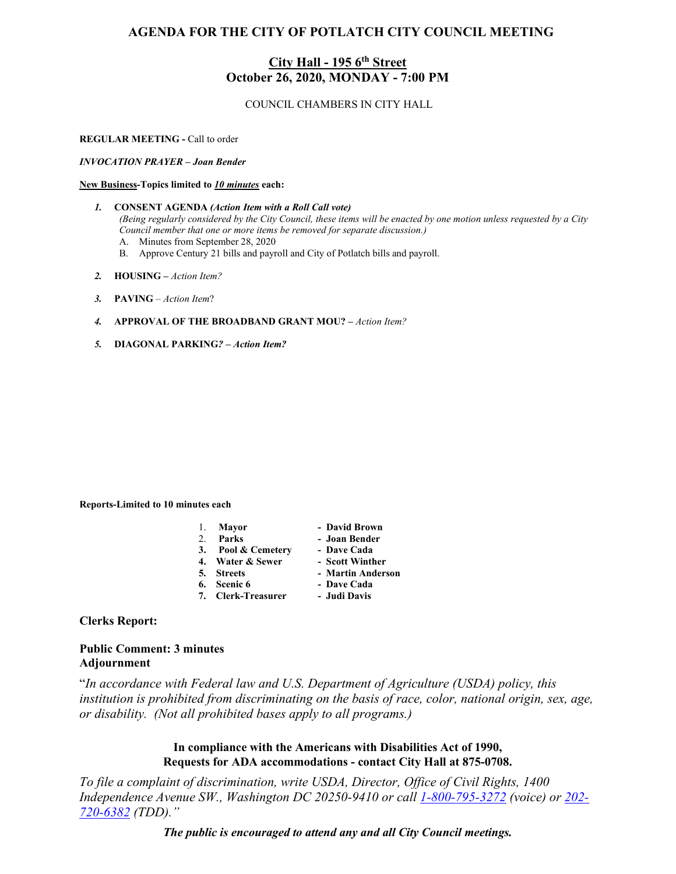# **City Hall - 195 6th Street October 26, 2020, MONDAY - 7:00 PM**

COUNCIL CHAMBERS IN CITY HALL

**REGULAR MEETING -** Call to order

*INVOCATION PRAYER – Joan Bender*

#### **New Business-Topics limited to** *10 minutes* **each:**

- *1.* **CONSENT AGENDA** *(Action Item with a Roll Call vote) (Being regularly considered by the City Council, these items will be enacted by one motion unless requested by a City Council member that one or more items be removed for separate discussion.)*
	- A. Minutes from September 28, 2020
	- B. Approve Century 21 bills and payroll and City of Potlatch bills and payroll.
- *2.* **HOUSING –** *Action Item?*
- *3.* **PAVING** *Action Item*?
- *4.* **APPROVAL OF THE BROADBAND GRANT MOU?** *– Action Item?*
- *5.* **DIAGONAL PARKING***? – Action Item?*

**Reports-Limited to 10 minutes each**

| 1. | Mayor    | - David Brown |
|----|----------|---------------|
|    | 2. Parks | - Joan Bender |
|    |          |               |

- **3. Pool & Cemetery - Dave Cada**
- **4. Water & Sewer Scott Winther**
	-
- **5. Streets Martin Anderson**
- 
- **6.** Streets Martin And<br> **6.** Scenic 6 Dave Cada
- **7. Clerk-Treasurer Judi Davis**

# **Clerks Report:**

# **Public Comment: 3 minutes Adjournment**

"*In accordance with Federal law and U.S. Department of Agriculture (USDA) policy, this institution is prohibited from discriminating on the basis of race, color, national origin, sex, age, or disability. (Not all prohibited bases apply to all programs.)*

> **In compliance with the Americans with Disabilities Act of 1990, Requests for ADA accommodations - contact City Hall at 875-0708.**

*To file a complaint of discrimination, write USDA, Director, Office of Civil Rights, 1400 Independence Avenue SW., Washington DC 20250-9410 or call [1-800-795-3272](http://www.cityofnezperce.com/1-800-795-3272) (voice) or [202-](http://www.cityofnezperce.com/202-720-6382) [720-6382](http://www.cityofnezperce.com/202-720-6382) (TDD)."*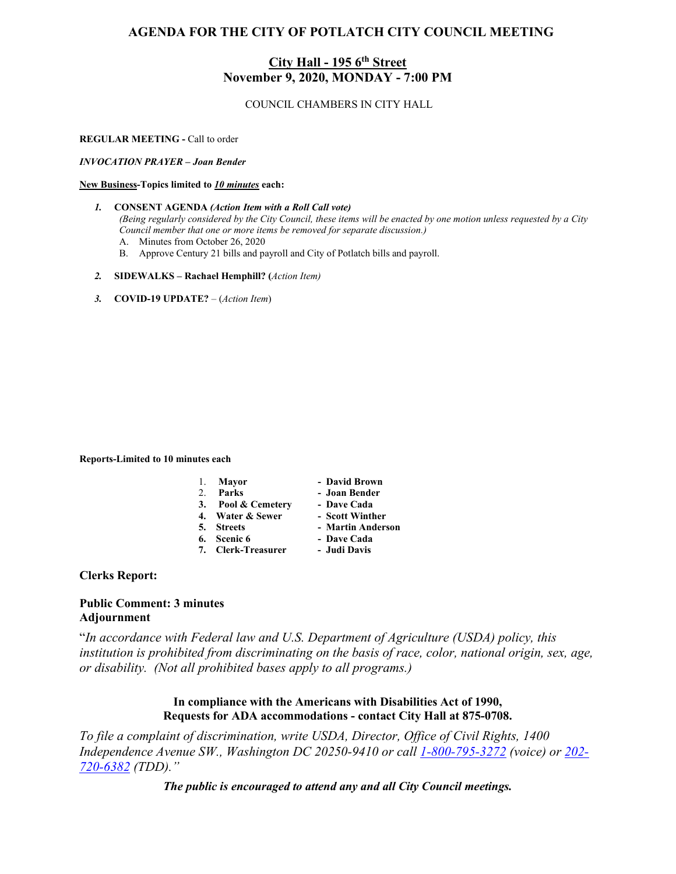# **City Hall - 195 6th Street November 9, 2020, MONDAY - 7:00 PM**

COUNCIL CHAMBERS IN CITY HALL

**REGULAR MEETING -** Call to order

*INVOCATION PRAYER – Joan Bender*

#### **New Business-Topics limited to** *10 minutes* **each:**

- *1.* **CONSENT AGENDA** *(Action Item with a Roll Call vote) (Being regularly considered by the City Council, these items will be enacted by one motion unless requested by a City Council member that one or more items be removed for separate discussion.)*
	- A. Minutes from October 26, 2020
	- B. Approve Century 21 bills and payroll and City of Potlatch bills and payroll.
- *2.* **SIDEWALKS – Rachael Hemphill? (***Action Item)*
- *3.* **COVID-19 UPDATE?** (*Action Item*)

**Reports-Limited to 10 minutes each**

|         | 1. Mayor           | - David Brown     |
|---------|--------------------|-------------------|
| $2^{n}$ | Parks              | - Joan Bender     |
|         | 3. Pool & Cemetery | - Dave Cada       |
|         | 4. Water & Sewer   | - Scott Winther   |
|         | 5. Streets         | - Martin Anderson |
|         | 6. Scenic 6        | - Dave Cada       |

**7. Clerk-Treasurer - Judi Davis**

# **Clerks Report:**

# **Public Comment: 3 minutes Adjournment**

"*In accordance with Federal law and U.S. Department of Agriculture (USDA) policy, this institution is prohibited from discriminating on the basis of race, color, national origin, sex, age, or disability. (Not all prohibited bases apply to all programs.)*

# **In compliance with the Americans with Disabilities Act of 1990, Requests for ADA accommodations - contact City Hall at 875-0708.**

*To file a complaint of discrimination, write USDA, Director, Office of Civil Rights, 1400 Independence Avenue SW., Washington DC 20250-9410 or call [1-800-795-3272](http://www.cityofnezperce.com/1-800-795-3272) (voice) or [202-](http://www.cityofnezperce.com/202-720-6382) [720-6382](http://www.cityofnezperce.com/202-720-6382) (TDD)."*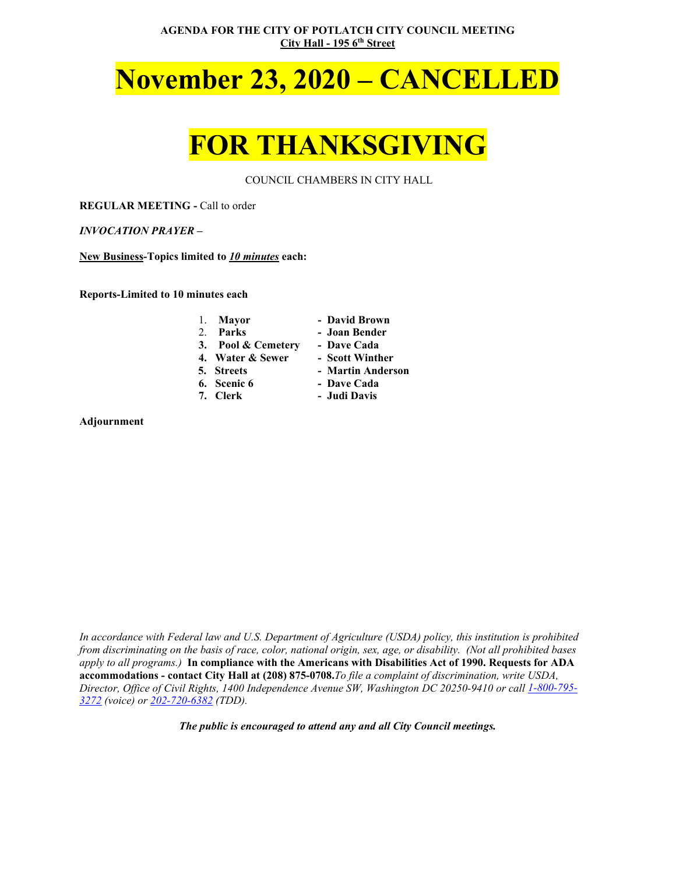**AGENDA FOR THE CITY OF POTLATCH CITY COUNCIL MEETING City Hall - 195 6th Street**

# **November 23, 2020 – CANCELLED**

# **FOR THANKSGIVING**

COUNCIL CHAMBERS IN CITY HALL

**REGULAR MEETING -** Call to order

*INVOCATION PRAYER –*

**New Business-Topics limited to** *10 minutes* **each:**

**Reports-Limited to 10 minutes each**

| 1. Mayor           | - David Brown     |
|--------------------|-------------------|
| 2. Parks           | - Joan Bender     |
| 3. Pool & Cemetery | - Dave Cada       |
| 4. Water & Sewer   | - Scott Winther   |
| 5. Streets         | - Martin Anderson |
| 6. Scenic 6        | - Dave Cada       |
| 7. Clerk           | - Judi Davis      |
|                    |                   |

**Adjournment**

*In accordance with Federal law and U.S. Department of Agriculture (USDA) policy, this institution is prohibited from discriminating on the basis of race, color, national origin, sex, age, or disability. (Not all prohibited bases apply to all programs.)* **In compliance with the Americans with Disabilities Act of 1990. Requests for ADA accommodations - contact City Hall at (208) 875-0708.***To file a complaint of discrimination, write USDA, Director, Office of Civil Rights, 1400 Independence Avenue SW, Washington DC 20250-9410 or call [1-800-795-](http://www.cityofnezperce.com/1-800-795-3272) [3272](http://www.cityofnezperce.com/1-800-795-3272) (voice) or [202-720-6382](http://www.cityofnezperce.com/202-720-6382) (TDD).*